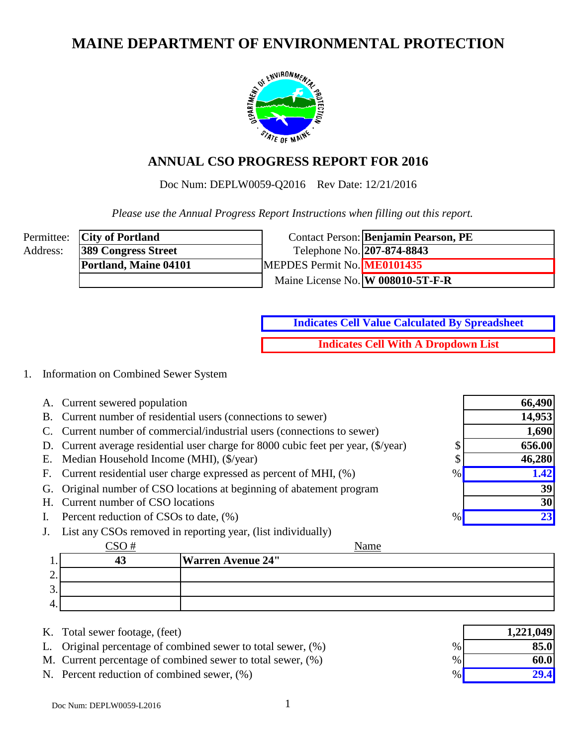# **MAINE DEPARTMENT OF ENVIRONMENTAL PROTECTION**



# **ANNUAL CSO PROGRESS REPORT FOR 2016**

Doc Num: DEPLW0059-Q2016 Rev Date: 12/21/2016

 *Please use the Annual Progress Report Instructions when filling out this report.*

|          | Permittee: <b>City of Portland</b> |                             | Contact Person: Benjamin Pearson, PE |
|----------|------------------------------------|-----------------------------|--------------------------------------|
| Address: | <b>389 Congress Street</b>         | Telephone No. 207-874-8843  |                                      |
|          | Portland, Maine 04101              | MEPDES Permit No. ME0101435 |                                      |
|          |                                    |                             | Maine License No. W 008010-5T-F-R    |

**Indicates Cell With A Dropdown List Indicates Cell Value Calculated By Spreadsheet**

#### 1. Information on Combined Sewer System

- A. Current sewered population
- B. Current number of residential users (connections to sewer)
- C. Current number of commercial/industrial users (connections to sewer)
- D. Current average residential user charge for 8000 cubic feet per year,  $(\frac{5}{year})$  \$
- E. Median Household Income (MHI),  $(\frac{5}{\sqrt{2}})$  \$
- F. Current residential user charge expressed as percent of MHI,  $(\%)$  %
- G. Original number of CSO locations at beginning of abatement program
- H. Current number of CSO locations
- I. Percent reduction of CSOs to date,  $(\% )$
- J. List any CSOs removed in reporting year, (list individually)

|                        |  | Name                     |
|------------------------|--|--------------------------|
| . .                    |  | <b>Warren Avenue 24"</b> |
| <u>.</u>               |  |                          |
| $\sqrt{2}$<br><u>.</u> |  |                          |
| 4.                     |  |                          |

- K. Total sewer footage, (feet)
- L. Original percentage of combined sewer to total sewer,  $(\%)$
- M. Current percentage of combined sewer to total sewer,  $(\%)$
- N. Percent reduction of combined sewer,  $(\%)$

|      | 1,221,049 |
|------|-----------|
| $\%$ | 85.0      |
| $\%$ | 60.0      |
| $\%$ | 29.4      |

**66,490**

**14,953 1,690**

**656.00 46,280**

> **39 30**

**23**

**1.42**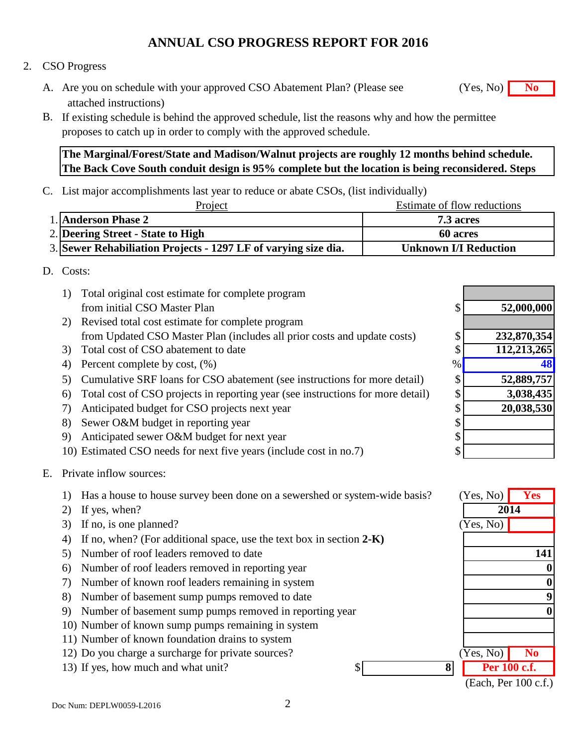#### 2. CSO Progress

- A. Are you on schedule with your approved CSO Abatement Plan? (Please see **No** (Yes, No) **No** attached instructions)
- B. If existing schedule is behind the approved schedule, list the reasons why and how the permittee proposes to catch up in order to comply with the approved schedule.

#### **The Marginal/Forest/State and Madison/Walnut projects are roughly 12 months behind schedule. The Back Cove South conduit design is 95% complete but the location is being reconsidered. Steps**

C. List major accomplishments last year to reduce or abate CSOs, (list individually)

| Project                                                        | Estimate of flow reductions  |
|----------------------------------------------------------------|------------------------------|
| 1. Anderson Phase 2                                            | <b>7.3 acres</b>             |
| 2. Deering Street - State to High                              | <b>60 acres</b>              |
| 3. Sewer Rehabiliation Projects - 1297 LF of varying size dia. | <b>Unknown I/I Reduction</b> |

#### D. Costs:

- 1) Total original cost estimate for complete program from initial CSO Master Plan \$
- 2) Revised total cost estimate for complete program from Updated CSO Master Plan (includes all prior costs and update costs) \$
- 3) Total cost of CSO abatement to date \$
- 4) Percent complete by cost,  $(\%)$
- 5) Cumulative SRF loans for CSO abatement (see instructions for more detail) \$
- 6) Total cost of CSO projects in reporting year (see instructions for more detail) \$
- 7) Anticipated budget for CSO projects next year \$
- 8) Sewer O&M budget in reporting year \$
- 9) Anticipated sewer O&M budget for next year \$
- 10) Estimated CSO needs for next five years (include cost in no.7) \$

#### E. Private inflow sources:

1) Has a house to house survey been done on a sewershed or system-wide basis? **Yes**

- 2) If yes, when?
- 3) If no, is one planned?
- 4) If no, when? (For additional space, use the text box in section **2-K)**
- 5) Number of roof leaders removed to date
- 6) Number of roof leaders removed in reporting year
- 7) Number of known roof leaders remaining in system
- 8) Number of basement sump pumps removed to date
- 9) Number of basement sump pumps removed in reporting year
- 10) Number of known sump pumps remaining in system
- 11) Number of known foundation drains to system
- 12) Do you charge a surcharge for private sources? **No No No**
- 13) If yes, how much and what unit?  $\frac{13}{2}$  **8 Per 100 c.f.**

| \$ | 52,000,000  |
|----|-------------|
|    |             |
| \$ | 232,870,354 |
| \$ | 112,213,265 |
| %  |             |
| \$ | 52,889,757  |
| \$ | 3,038,435   |
| \$ | 20,038,530  |
| \$ |             |
| \$ |             |
| \$ |             |



(Each, Per 100 c.f.)

(Yes, No)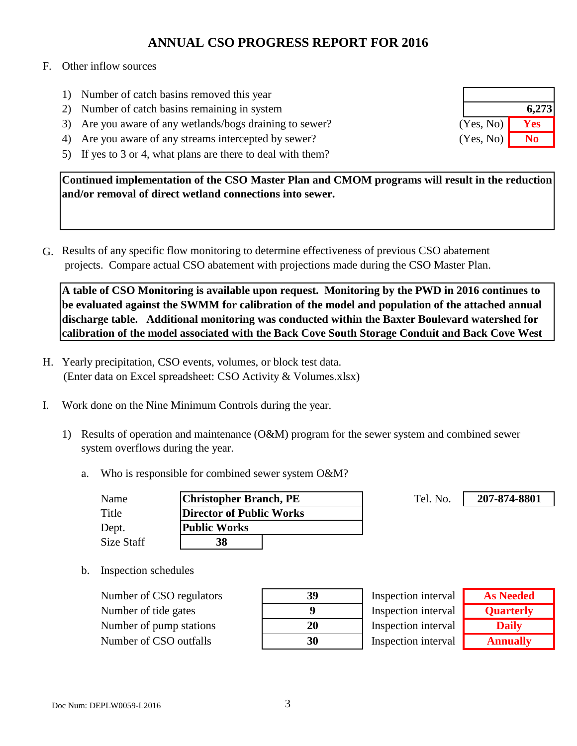#### F. Other inflow sources

- 1) Number of catch basins removed this year
- 2) Number of catch basins remaining in system
- 3) Are you aware of any wetlands/bogs draining to sewer?
- 4) Are you aware of any streams intercepted by sewer?
- 5) If yes to 3 or 4, what plans are there to deal with them?

**Continued implementation of the CSO Master Plan and CMOM programs will result in the reduction and/or removal of direct wetland connections into sewer.** 

G. Results of any specific flow monitoring to determine effectiveness of previous CSO abatement projects. Compare actual CSO abatement with projections made during the CSO Master Plan.

**A table of CSO Monitoring is available upon request. Monitoring by the PWD in 2016 continues to be evaluated against the SWMM for calibration of the model and population of the attached annual discharge table. Additional monitoring was conducted within the Baxter Boulevard watershed for calibration of the model associated with the Back Cove South Storage Conduit and Back Cove West** 

- H. Yearly precipitation, CSO events, volumes, or block test data. (Enter data on Excel spreadsheet: CSO Activity & Volumes.xlsx)
- I. Work done on the Nine Minimum Controls during the year.
	- 1) Results of operation and maintenance (O&M) program for the sewer system and combined sewer system overflows during the year.
		- a. Who is responsible for combined sewer system O&M?

| Name       | <b>Christopher Branch, PE</b> | Tel. No. |
|------------|-------------------------------|----------|
| Title      | Director of Public Works      |          |
| Dept.      | <b>Public Works</b>           |          |
| Size Staff | 38                            |          |

b. Inspection schedules

Number of CSO regulators **39** Number of tide gates **9** Number of pump stations Number of CSO outfalls **30**

| 39 |
|----|
| 9  |
| 20 |
| 30 |

Inspection interval Inspection interval Inspection interval Inspection interval

| <b>As Needed</b> |
|------------------|
| <b>Quarterly</b> |
| <b>Daily</b>     |
| <b>Annually</b>  |

**207-874-8801**

|           | 6,273 |
|-----------|-------|
| (Yes, No) | Yes   |
| (Yes, No) | No    |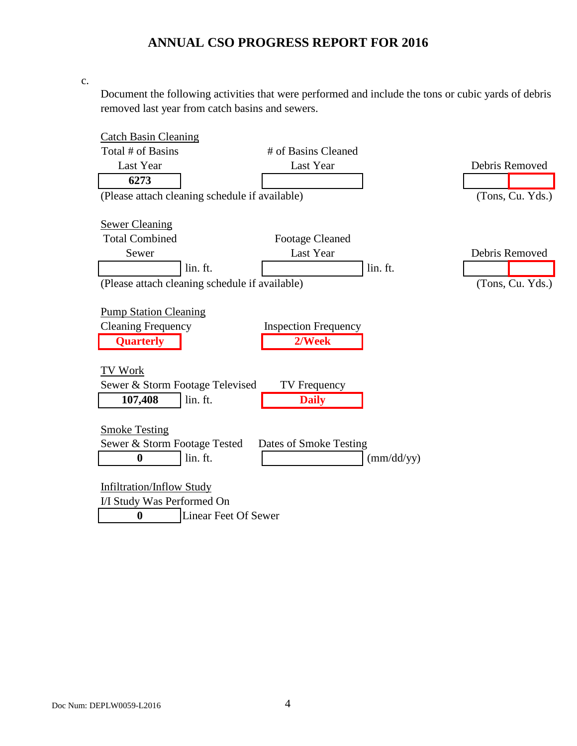c.

Document the following activities that were performed and include the tons or cubic yards of debris removed last year from catch basins and sewers.

| <b>Catch Basin Cleaning</b>                    |                             |            |                  |
|------------------------------------------------|-----------------------------|------------|------------------|
| Total # of Basins                              | # of Basins Cleaned         |            |                  |
| Last Year                                      | Last Year                   |            | Debris Removed   |
| 6273                                           |                             |            |                  |
| (Please attach cleaning schedule if available) |                             |            | (Tons, Cu. Yds.) |
|                                                |                             |            |                  |
| <b>Sewer Cleaning</b>                          |                             |            |                  |
| <b>Total Combined</b>                          | <b>Footage Cleaned</b>      |            |                  |
| Sewer                                          | Last Year                   |            | Debris Removed   |
| lin. ft.                                       |                             | lin. ft.   |                  |
| (Please attach cleaning schedule if available) |                             |            | (Tons, Cu. Yds.) |
|                                                |                             |            |                  |
| <b>Pump Station Cleaning</b>                   |                             |            |                  |
| <b>Cleaning Frequency</b>                      | <b>Inspection Frequency</b> |            |                  |
| <b>Quarterly</b>                               | 2/Week                      |            |                  |
|                                                |                             |            |                  |
| TV Work                                        |                             |            |                  |
| Sewer & Storm Footage Televised                | TV Frequency                |            |                  |
| lin. ft.<br>107,408                            | <b>Daily</b>                |            |                  |
|                                                |                             |            |                  |
| <b>Smoke Testing</b>                           |                             |            |                  |
| Sewer & Storm Footage Tested                   | Dates of Smoke Testing      |            |                  |
| lin. ft.<br>$\bf{0}$                           |                             | (mm/dd/yy) |                  |
|                                                |                             |            |                  |
| <b>Infiltration/Inflow Study</b>               |                             |            |                  |
| I/I Study Was Performed On                     |                             |            |                  |
| <b>Linear Feet Of Sewer</b><br>0               |                             |            |                  |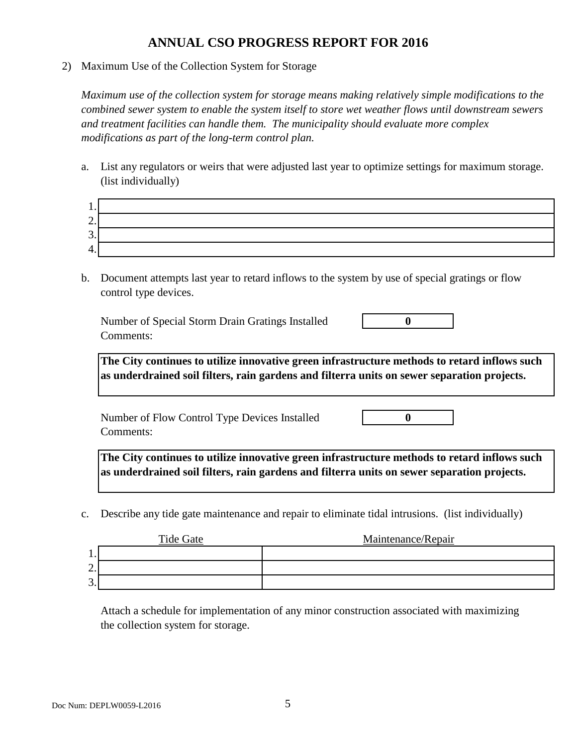2) Maximum Use of the Collection System for Storage

*Maximum use of the collection system for storage means making relatively simple modifications to the combined sewer system to enable the system itself to store wet weather flows until downstream sewers and treatment facilities can handle them. The municipality should evaluate more complex modifications as part of the long-term control plan.*

a. List any regulators or weirs that were adjusted last year to optimize settings for maximum storage. (list individually)

| . .      |  |
|----------|--|
| ∼<br>∠.  |  |
| ⌒<br>J.  |  |
| 4<br>. . |  |

b. Document attempts last year to retard inflows to the system by use of special gratings or flow control type devices.

Number of Special Storm Drain Gratings Installed **0** Comments:

**The City continues to utilize innovative green infrastructure methods to retard inflows such as underdrained soil filters, rain gardens and filterra units on sewer separation projects.**

Number of Flow Control Type Devices Installed **0** Comments:

**The City continues to utilize innovative green infrastructure methods to retard inflows such as underdrained soil filters, rain gardens and filterra units on sewer separation projects.**

c. Describe any tide gate maintenance and repair to eliminate tidal intrusions. (list individually)

|         | Tide Gate | Maintenance/Repair |
|---------|-----------|--------------------|
| . .     |           |                    |
| ◠<br>∠. |           |                    |
| ⌒<br>J. |           |                    |

Attach a schedule for implementation of any minor construction associated with maximizing the collection system for storage.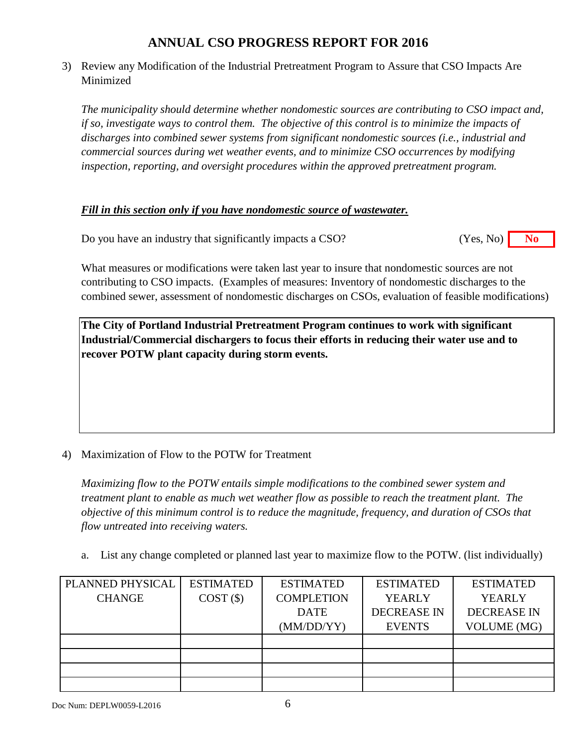3) Review any Modification of the Industrial Pretreatment Program to Assure that CSO Impacts Are Minimized

*The municipality should determine whether nondomestic sources are contributing to CSO impact and, if so, investigate ways to control them. The objective of this control is to minimize the impacts of discharges into combined sewer systems from significant nondomestic sources (i.e., industrial and commercial sources during wet weather events, and to minimize CSO occurrences by modifying inspection, reporting, and oversight procedures within the approved pretreatment program.*

#### *Fill in this section only if you have nondomestic source of wastewater.*

Do you have an industry that significantly impacts a CSO? **No** (Yes, No) **No** (Yes, No)

What measures or modifications were taken last year to insure that nondomestic sources are not contributing to CSO impacts. (Examples of measures: Inventory of nondomestic discharges to the combined sewer, assessment of nondomestic discharges on CSOs, evaluation of feasible modifications)

**The City of Portland Industrial Pretreatment Program continues to work with significant Industrial/Commercial dischargers to focus their efforts in reducing their water use and to recover POTW plant capacity during storm events.**

#### 4) Maximization of Flow to the POTW for Treatment

*Maximizing flow to the POTW entails simple modifications to the combined sewer system and treatment plant to enable as much wet weather flow as possible to reach the treatment plant. The objective of this minimum control is to reduce the magnitude, frequency, and duration of CSOs that flow untreated into receiving waters.*

a. List any change completed or planned last year to maximize flow to the POTW. (list individually)

| PLANNED PHYSICAL | <b>ESTIMATED</b> | <b>ESTIMATED</b>  | <b>ESTIMATED</b>   | <b>ESTIMATED</b>   |
|------------------|------------------|-------------------|--------------------|--------------------|
| <b>CHANGE</b>    | $COST($ \$)      | <b>COMPLETION</b> | <b>YEARLY</b>      | <b>YEARLY</b>      |
|                  |                  | <b>DATE</b>       | <b>DECREASE IN</b> | <b>DECREASE IN</b> |
|                  |                  | (MM/DD/YY)        | <b>EVENTS</b>      | <b>VOLUME</b> (MG) |
|                  |                  |                   |                    |                    |
|                  |                  |                   |                    |                    |
|                  |                  |                   |                    |                    |
|                  |                  |                   |                    |                    |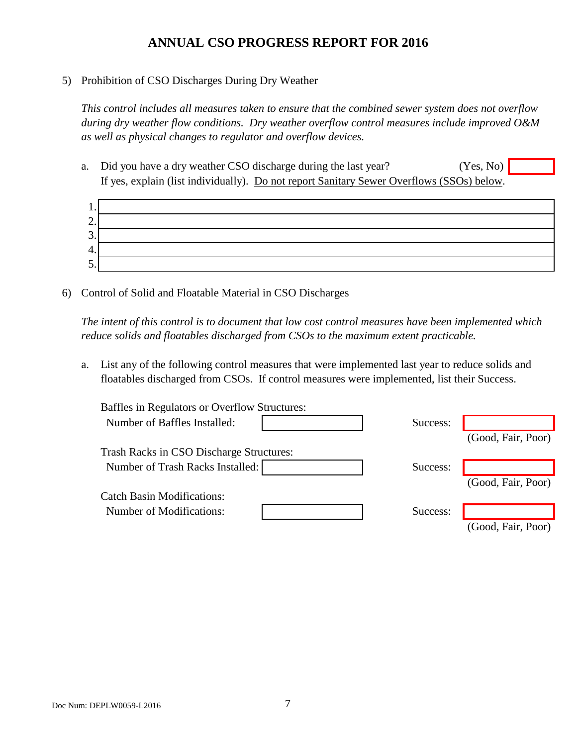#### 5) Prohibition of CSO Discharges During Dry Weather

*This control includes all measures taken to ensure that the combined sewer system does not overflow during dry weather flow conditions. Dry weather overflow control measures include improved O&M as well as physical changes to regulator and overflow devices.*

a. Did you have a dry weather CSO discharge during the last year? If yes, explain (list individually). Do not report Sanitary Sewer Overflows (SSOs) below. (Yes, No)



6) Control of Solid and Floatable Material in CSO Discharges

*The intent of this control is to document that low cost control measures have been implemented which reduce solids and floatables discharged from CSOs to the maximum extent practicable.*

a. List any of the following control measures that were implemented last year to reduce solids and floatables discharged from CSOs. If control measures were implemented, list their Success.

| Baffles in Regulators or Overflow Structures: |          |                    |
|-----------------------------------------------|----------|--------------------|
| Number of Baffles Installed:                  | Success: |                    |
|                                               |          | (Good, Fair, Poor) |
| Trash Racks in CSO Discharge Structures:      |          |                    |
| Number of Trash Racks Installed:              | Success: |                    |
|                                               |          | (Good, Fair, Poor) |
| <b>Catch Basin Modifications:</b>             |          |                    |
| <b>Number of Modifications:</b>               | Success: |                    |
|                                               |          | (Good, Fair, Poor) |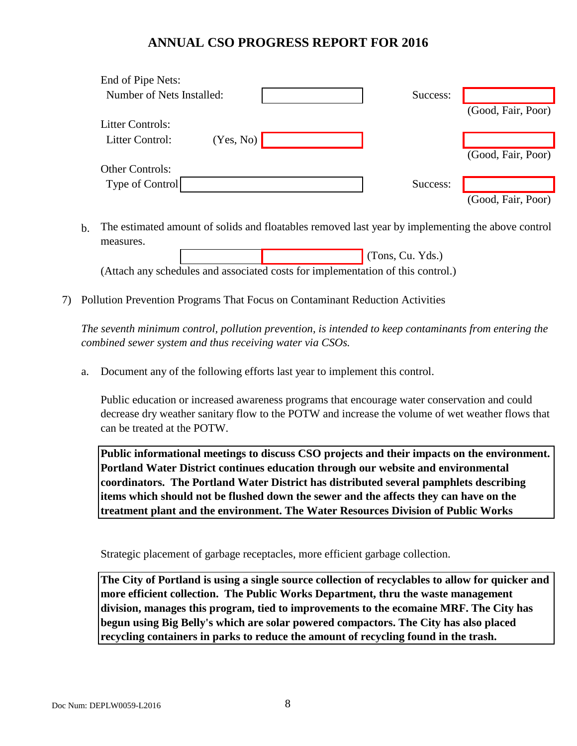| End of Pipe Nets:         |           |  |          |                    |
|---------------------------|-----------|--|----------|--------------------|
| Number of Nets Installed: |           |  | Success: |                    |
|                           |           |  |          | (Good, Fair, Poor) |
| <b>Litter Controls:</b>   |           |  |          |                    |
| Litter Control:           | (Yes, No) |  |          |                    |
|                           |           |  |          | (Good, Fair, Poor) |
| <b>Other Controls:</b>    |           |  |          |                    |
| Type of Control           |           |  | Success: |                    |
|                           |           |  |          | (Good, Fair, Poor) |

b. The estimated amount of solids and floatables removed last year by implementing the above control measures.

 (Tons, Cu. Yds.) (Attach any schedules and associated costs for implementation of this control.)

7) Pollution Prevention Programs That Focus on Contaminant Reduction Activities

*The seventh minimum control, pollution prevention, is intended to keep contaminants from entering the combined sewer system and thus receiving water via CSOs.*

a. Document any of the following efforts last year to implement this control.

Public education or increased awareness programs that encourage water conservation and could decrease dry weather sanitary flow to the POTW and increase the volume of wet weather flows that can be treated at the POTW.

**Public informational meetings to discuss CSO projects and their impacts on the environment. Portland Water District continues education through our website and environmental coordinators. The Portland Water District has distributed several pamphlets describing items which should not be flushed down the sewer and the affects they can have on the treatment plant and the environment. The Water Resources Division of Public Works** 

Strategic placement of garbage receptacles, more efficient garbage collection.

**The City of Portland is using a single source collection of recyclables to allow for quicker and more efficient collection. The Public Works Department, thru the waste management division, manages this program, tied to improvements to the ecomaine MRF. The City has begun using Big Belly's which are solar powered compactors. The City has also placed recycling containers in parks to reduce the amount of recycling found in the trash.**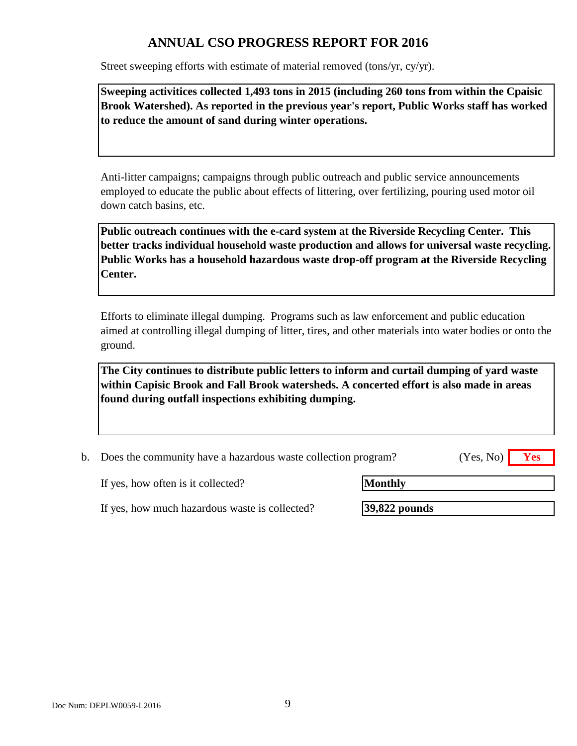Street sweeping efforts with estimate of material removed (tons/yr, cy/yr).

**Sweeping activitices collected 1,493 tons in 2015 (including 260 tons from within the Cpaisic Brook Watershed). As reported in the previous year's report, Public Works staff has worked to reduce the amount of sand during winter operations.**

Anti-litter campaigns; campaigns through public outreach and public service announcements employed to educate the public about effects of littering, over fertilizing, pouring used motor oil down catch basins, etc.

**Public outreach continues with the e-card system at the Riverside Recycling Center. This better tracks individual household waste production and allows for universal waste recycling. Public Works has a household hazardous waste drop-off program at the Riverside Recycling Center.**

Efforts to eliminate illegal dumping. Programs such as law enforcement and public education aimed at controlling illegal dumping of litter, tires, and other materials into water bodies or onto the ground.

**The City continues to distribute public letters to inform and curtail dumping of yard waste within Capisic Brook and Fall Brook watersheds. A concerted effort is also made in areas found during outfall inspections exhibiting dumping.** 

| b. Does the community have a hazardous waste collection program? | $(Yes, No)$ Yes |  |
|------------------------------------------------------------------|-----------------|--|
|                                                                  |                 |  |

If yes, how often is it collected?

**Monthly**

If yes, how much hazardous waste is collected?

**39,822 pounds**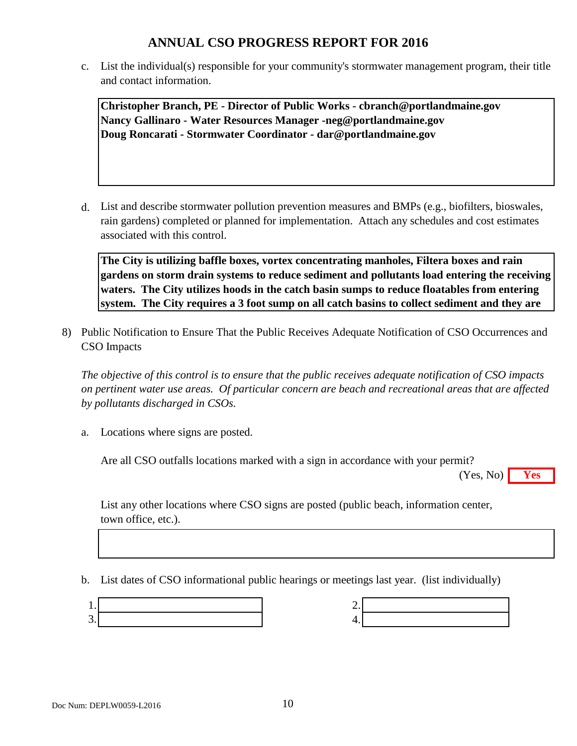c. List the individual(s) responsible for your community's stormwater management program, their title and contact information.

**Christopher Branch, PE - Director of Public Works - cbranch@portlandmaine.gov Nancy Gallinaro - Water Resources Manager -neg@portlandmaine.gov Doug Roncarati - Stormwater Coordinator - dar@portlandmaine.gov**

d. List and describe stormwater pollution prevention measures and BMPs (e.g., biofilters, bioswales, rain gardens) completed or planned for implementation. Attach any schedules and cost estimates associated with this control.

**The City is utilizing baffle boxes, vortex concentrating manholes, Filtera boxes and rain gardens on storm drain systems to reduce sediment and pollutants load entering the receiving waters. The City utilizes hoods in the catch basin sumps to reduce floatables from entering system. The City requires a 3 foot sump on all catch basins to collect sediment and they are** 

8) Public Notification to Ensure That the Public Receives Adequate Notification of CSO Occurrences and CSO Impacts

*The objective of this control is to ensure that the public receives adequate notification of CSO impacts on pertinent water use areas. Of particular concern are beach and recreational areas that are affected by pollutants discharged in CSOs.*

a. Locations where signs are posted.

Are all CSO outfalls locations marked with a sign in accordance with your permit?

**Yes** (Yes, No)

List any other locations where CSO signs are posted (public beach, information center, town office, etc.).

b. List dates of CSO informational public hearings or meetings last year. (list individually)

| Ξ  |  |
|----|--|
| 4. |  |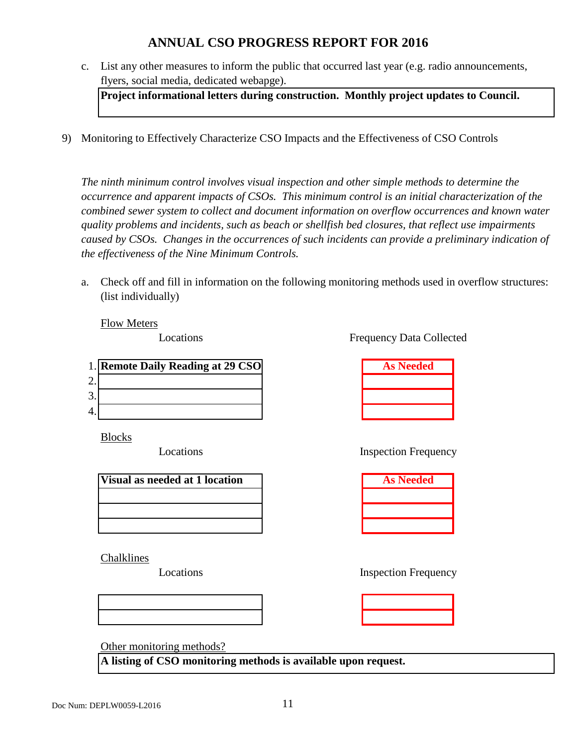c. List any other measures to inform the public that occurred last year (e.g. radio announcements, flyers, social media, dedicated webapge).

**Project informational letters during construction. Monthly project updates to Council.**

9) Monitoring to Effectively Characterize CSO Impacts and the Effectiveness of CSO Controls

*The ninth minimum control involves visual inspection and other simple methods to determine the occurrence and apparent impacts of CSOs. This minimum control is an initial characterization of the combined sewer system to collect and document information on overflow occurrences and known water quality problems and incidents, such as beach or shellfish bed closures, that reflect use impairments caused by CSOs. Changes in the occurrences of such incidents can provide a preliminary indication of the effectiveness of the Nine Minimum Controls.*

a. Check off and fill in information on the following monitoring methods used in overflow structures: (list individually)

Flow Meters

Locations

|    | 1. Remote Daily Reading at 29 CSO | <b>As Needed</b> |
|----|-----------------------------------|------------------|
| ⌒  |                                   |                  |
| 3. |                                   |                  |
| 4. |                                   |                  |

Blocks

Locations

| Visual as needed at 1 location |  |
|--------------------------------|--|
|                                |  |
|                                |  |
|                                |  |

Chalklines

Locations

Other monitoring methods?

**A listing of CSO monitoring methods is available upon request.** 

Frequency Data Collected

| <b>As Needed</b> |
|------------------|
|                  |
|                  |
|                  |

Inspection Frequency

| <b>As Needed</b> |
|------------------|
|                  |
|                  |
|                  |

Inspection Frequency

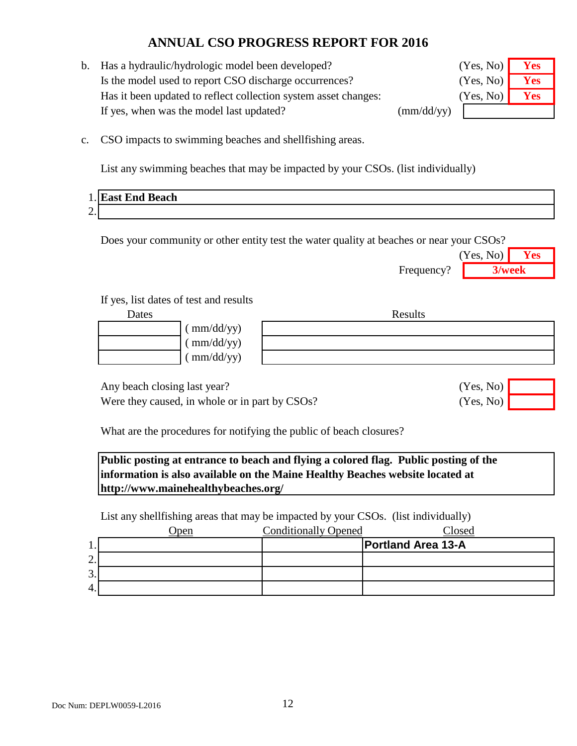b. Has a hydraulic/hydrologic model been developed? Is the model used to report CSO discharge occurrences? Has it been updated to reflect collection system asset changes: If yes, when was the model last updated? (mm/dd/yy)

| (Yes, No) | Yes |
|-----------|-----|
| (Yes, No) | Yes |
| (Yes, No) | Yes |
|           |     |

c. CSO impacts to swimming beaches and shellfishing areas.

List any swimming beaches that may be impacted by your CSOs. (list individually)

|                 | 1. East End Beach |
|-----------------|-------------------|
| $\bigcap$<br>∠. |                   |

Does your community or other entity test the water quality at beaches or near your CSOs?

|            | (Yes, No) | Yes    |  |
|------------|-----------|--------|--|
| Frequency? |           | 3/week |  |
|            |           |        |  |
|            |           |        |  |
|            |           |        |  |

Results

(Yes, No)

(Yes, No)

| $\frac{m}{ddyy}$              |
|-------------------------------|
| $\frac{\text{mm}}{\text{dd}}$ |
|                               |

If yes, list dates of test and results

 $\frac{1}{\text{mm}}$  (mm/dd/yy)

Any beach closing last year?

Were they caused, in whole or in part by CSOs?

What are the procedures for notifying the public of beach closures?

**Public posting at entrance to beach and flying a colored flag. Public posting of the information is also available on the Maine Healthy Beaches website located at http://www.mainehealthybeaches.org/** 

List any shellfishing areas that may be impacted by your CSOs. (list individually)

|         | <b>)</b> pen | <b>Conditionally Opened</b> | Closed                    |
|---------|--------------|-----------------------------|---------------------------|
| .,      |              |                             | <b>Portland Area 13-A</b> |
| ⌒<br>٠. |              |                             |                           |
| 3.      |              |                             |                           |
| 4.      |              |                             |                           |